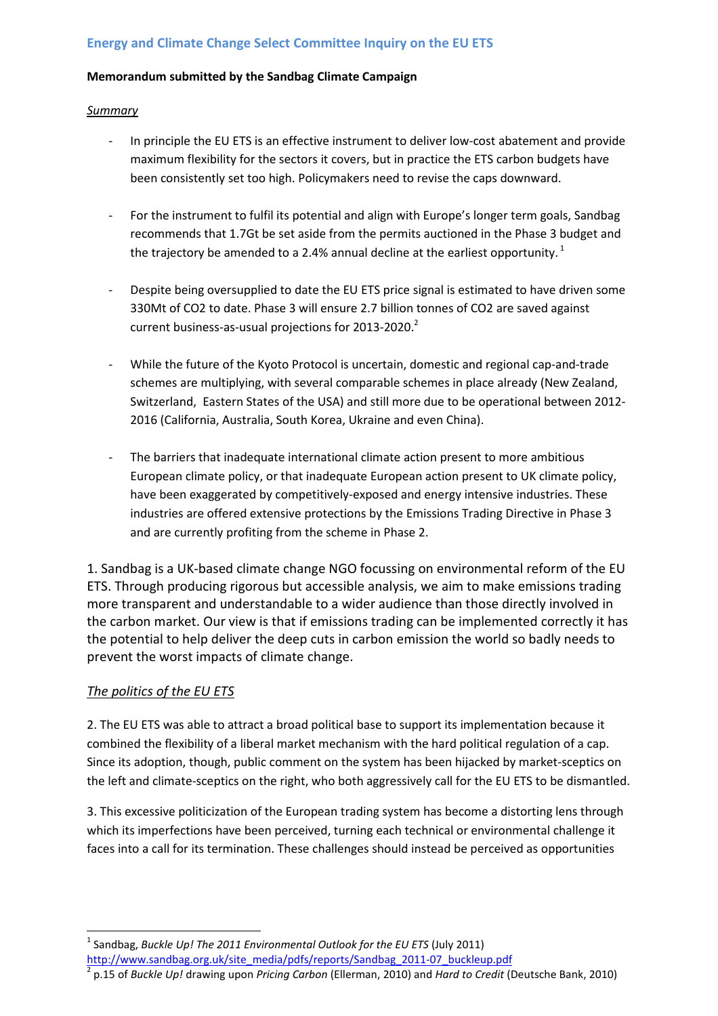### **Energy and Climate Change Select Committee Inquiry on the EU ETS**

#### **Memorandum submitted by the Sandbag Climate Campaign**

#### *Summary*

- In principle the EU ETS is an effective instrument to deliver low-cost abatement and provide maximum flexibility for the sectors it covers, but in practice the ETS carbon budgets have been consistently set too high. Policymakers need to revise the caps downward.
- For the instrument to fulfil its potential and align with Europe's longer term goals, Sandbag recommends that 1.7Gt be set aside from the permits auctioned in the Phase 3 budget and the trajectory be amended to a 2.4% annual decline at the earliest opportunity.  $^{1}$
- Despite being oversupplied to date the EU ETS price signal is estimated to have driven some 330Mt of CO2 to date. Phase 3 will ensure 2.7 billion tonnes of CO2 are saved against current business-as-usual projections for 2013-2020.<sup>2</sup>
- While the future of the Kyoto Protocol is uncertain, domestic and regional cap-and-trade schemes are multiplying, with several comparable schemes in place already (New Zealand, Switzerland, Eastern States of the USA) and still more due to be operational between 2012- 2016 (California, Australia, South Korea, Ukraine and even China).
- The barriers that inadequate international climate action present to more ambitious European climate policy, or that inadequate European action present to UK climate policy, have been exaggerated by competitively-exposed and energy intensive industries. These industries are offered extensive protections by the Emissions Trading Directive in Phase 3 and are currently profiting from the scheme in Phase 2.

1. Sandbag is a UK-based climate change NGO focussing on environmental reform of the EU ETS. Through producing rigorous but accessible analysis, we aim to make emissions trading more transparent and understandable to a wider audience than those directly involved in the carbon market. Our view is that if emissions trading can be implemented correctly it has the potential to help deliver the deep cuts in carbon emission the world so badly needs to prevent the worst impacts of climate change.

### *The politics of the EU ETS*

l

2. The EU ETS was able to attract a broad political base to support its implementation because it combined the flexibility of a liberal market mechanism with the hard political regulation of a cap. Since its adoption, though, public comment on the system has been hijacked by market-sceptics on the left and climate-sceptics on the right, who both aggressively call for the EU ETS to be dismantled.

3. This excessive politicization of the European trading system has become a distorting lens through which its imperfections have been perceived, turning each technical or environmental challenge it faces into a call for its termination. These challenges should instead be perceived as opportunities

<sup>1</sup> Sandbag, *Buckle Up! The 2011 Environmental Outlook for the EU ETS* (July 2011) http://www.sandbag.org.uk/site\_media/pdfs/reports/Sandbag\_2011-07\_buckleup.pdf 2

p.15 of *Buckle Up!* drawing upon *Pricing Carbon* (Ellerman, 2010) and *Hard to Credit* (Deutsche Bank, 2010)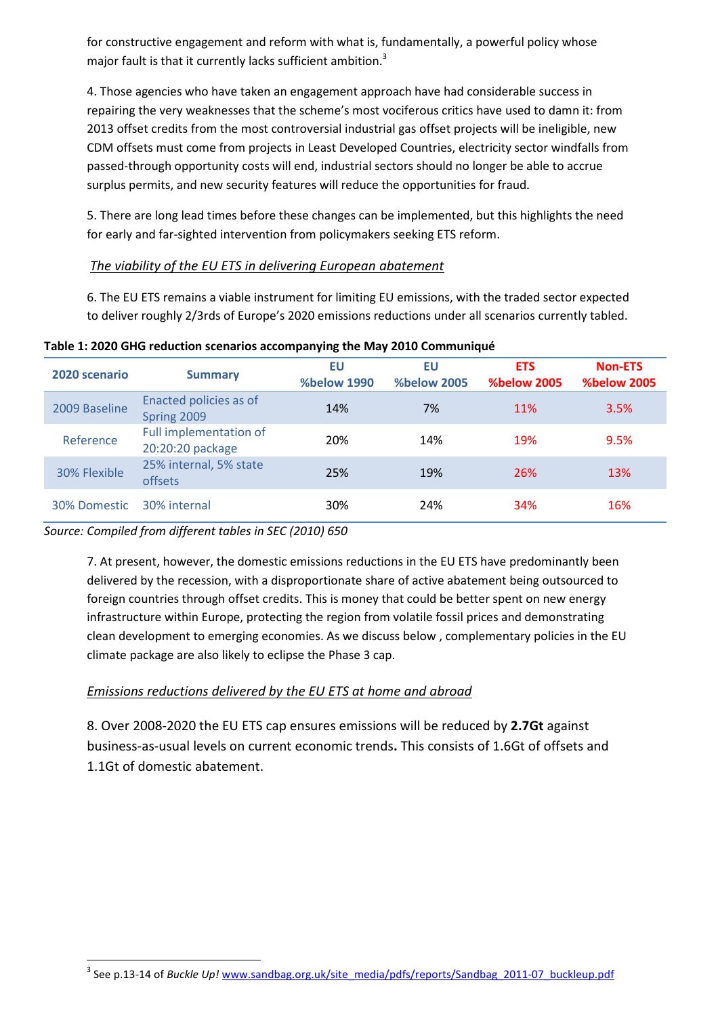for constructive engagement and reform with what is, fundamentally, a powerful policy whose major fault is that it currently lacks sufficient ambition.<sup>3</sup>

4. Those agencies who have taken an engagement approach have had considerable success in repairing the very weaknesses that the scheme's most vociferous critics have used to damn it: from 2013 offset credits from the most controversial industrial gas offset projects will be ineligible, new CDM offsets must come from projects in Least Developed Countries, electricity sector windfalls from passed-through opportunity costs will end, industrial sectors should no longer be able to accrue surplus permits, and new security features will reduce the opportunities for fraud.

5. There are long lead times before these changes can be implemented, but this highlights the need for early and far-sighted intervention from policymakers seeking ETS reform.

### *The viability of the EU ETS in delivering European abatement*

6. The EU ETS remains a viable instrument for limiting EU emissions, with the traded sector expected to deliver roughly 2/3rds of Europe's 2020 emissions reductions under all scenarios currently tabled.

| 2020 scenario | <b>Summary</b>                             | EU<br><b>%below 1990</b> | EU<br><b>%below 2005</b> | <b>ETS</b><br><b>%below 2005</b> | <b>Non-ETS</b><br><b>%below 2005</b> |
|---------------|--------------------------------------------|--------------------------|--------------------------|----------------------------------|--------------------------------------|
| 2009 Baseline | Enacted policies as of<br>Spring 2009      | 14%                      | 7%                       | 11%                              | 3.5%                                 |
| Reference     | Full implementation of<br>20:20:20 package | 20%                      | 14%                      | 19%                              | 9.5%                                 |
| 30% Flexible  | 25% internal, 5% state<br>offsets          | 25%                      | 19%                      | 26%                              | 13%                                  |
| 30% Domestic  | 30% internal                               | 30%                      | 24%                      | 34%                              | 16%                                  |

#### **Table 1: 2020 GHG reduction scenarios accompanying the May 2010 Communiqué**

### *Source: Compiled from different tables in SEC (2010) 650*

l

7. At present, however, the domestic emissions reductions in the EU ETS have predominantly been delivered by the recession, with a disproportionate share of active abatement being outsourced to foreign countries through offset credits. This is money that could be better spent on new energy infrastructure within Europe, protecting the region from volatile fossil prices and demonstrating clean development to emerging economies. As we discuss below , complementary policies in the EU climate package are also likely to eclipse the Phase 3 cap.

## *Emissions reductions delivered by the EU ETS at home and abroad*

8. Over 2008-2020 the EU ETS cap ensures emissions will be reduced by **2.7Gt** against business-as-usual levels on current economic trends**.** This consists of 1.6Gt of offsets and 1.1Gt of domestic abatement.

<sup>&</sup>lt;sup>3</sup> See p.13-14 of *Buckle Up!* www.sandbag.org.uk/site\_media/pdfs/reports/Sandbag\_2011-07\_buckleup.pdf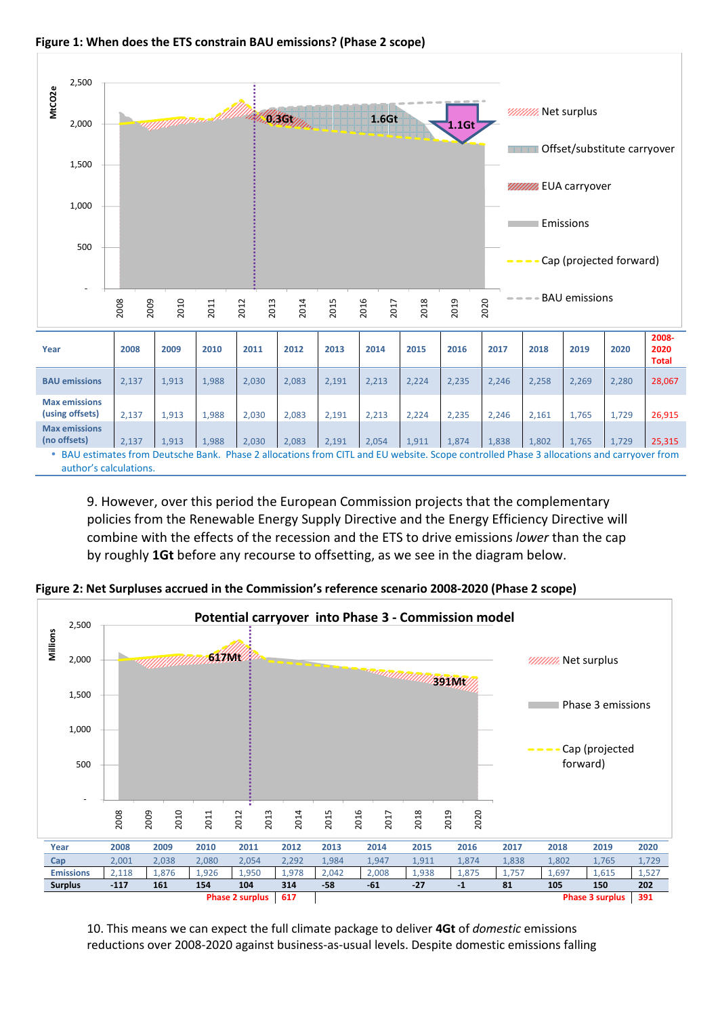



9. However, over this period the European Commission projects that the complementary policies from the Renewable Energy Supply Directive and the Energy Efficiency Directive will combine with the effects of the recession and the ETS to drive emissions *lower* than the cap by roughly **1Gt** before any recourse to offsetting, as we see in the diagram below.



**Figure 2: Net Surpluses accrued in the Commission's reference scenario 2008-2020 (Phase 2 scope)**

10. This means we can expect the full climate package to deliver **4Gt** of *domestic* emissions reductions over 2008-2020 against business-as-usual levels. Despite domestic emissions falling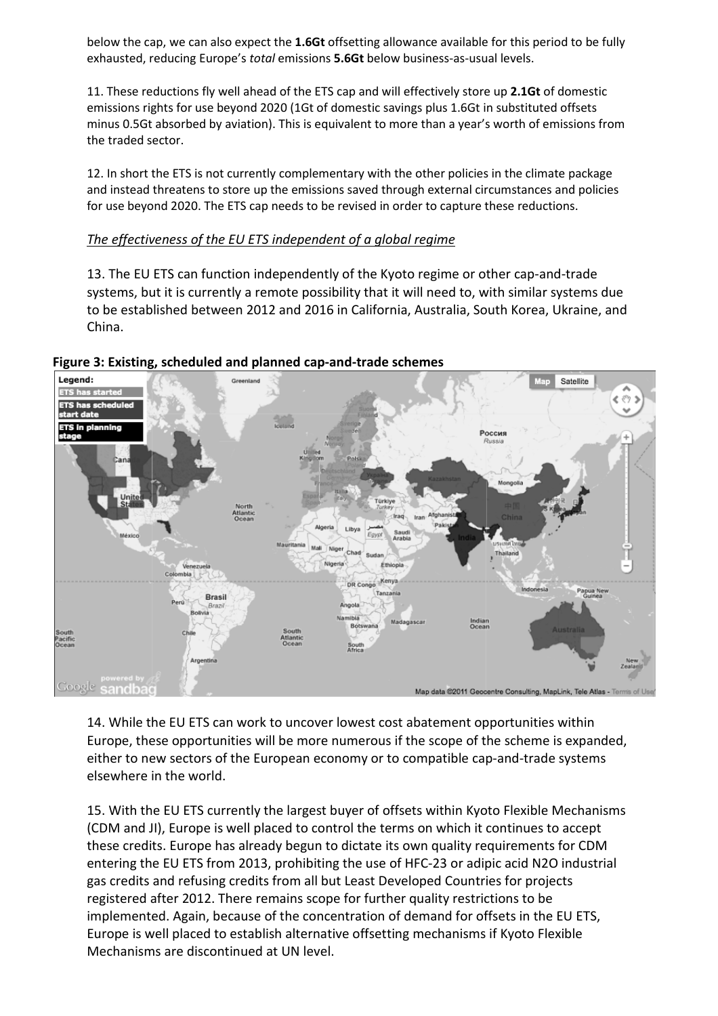below the cap, we can also expect the **1.6Gt** offsetting allowance available for this period to be fully exhausted, reducing Europe's *total* emissions **5.6Gt** below business-as-usual levels.

11. These reductions fly well ahead of the ETS cap and will effectively store up **2.1Gt** of domestic emissions rights for use beyond 2020 (1Gt of domestic savings plus 1.6Gt in substituted offsets minus 0.5Gt absorbed by aviation). This is equivalent to more than a year's worth of emissions from the traded sector.

12. In short the ETS is not currently complementary with the other policies in the climate package and instead threatens to store up the emissions saved through external circumstances and policies for use beyond 2020. The ETS cap needs to be revised in order to capture these reductions.

### *The effectiveness of the EU ETS independent of a global regime*

13. The EU ETS can function independently of the Kyoto regime or other cap-and-trade systems, but it is currently a remote possibility that it will need to, with similar systems due to be established between 2012 and 2016 in California, Australia, South Korea, Ukraine, and China.



**Figure 3: Existing, scheduled and planned cap-and-trade schemes**

14. While the EU ETS can work to uncover lowest cost abatement opportunities within Europe, these opportunities will be more numerous if the scope of the scheme is expanded, either to new sectors of the European economy or to compatible cap-and-trade systems elsewhere in the world.

15. With the EU ETS currently the largest buyer of offsets within Kyoto Flexible Mechanisms (CDM and JI), Europe is well placed to control the terms on which it continues to accept these credits. Europe has already begun to dictate its own quality requirements for CDM entering the EU ETS from 2013, prohibiting the use of HFC-23 or adipic acid N2O industrial gas credits and refusing credits from all but Least Developed Countries for projects registered after 2012. There remains scope for further quality restrictions to be implemented. Again, because of the concentration of demand for offsets in the EU ETS, Europe is well placed to establish alternative offsetting mechanisms if Kyoto Flexible Mechanisms are discontinued at UN level.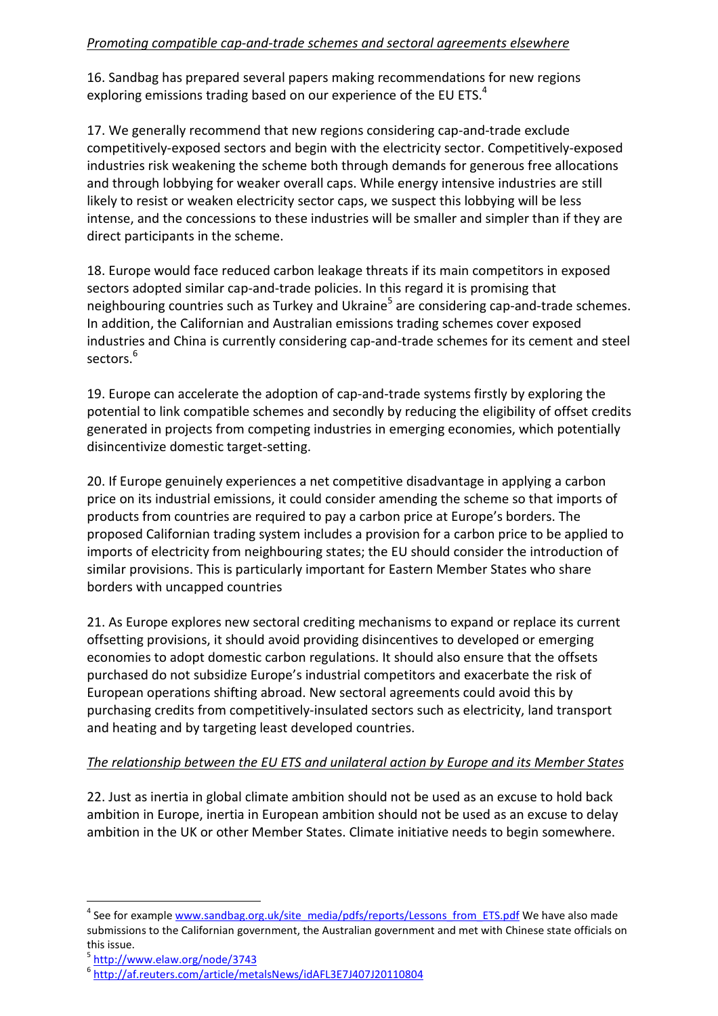## *Promoting compatible cap-and-trade schemes and sectoral agreements elsewhere*

16. Sandbag has prepared several papers making recommendations for new regions exploring emissions trading based on our experience of the EU ETS.<sup>4</sup>

17. We generally recommend that new regions considering cap-and-trade exclude competitively-exposed sectors and begin with the electricity sector. Competitively-exposed industries risk weakening the scheme both through demands for generous free allocations and through lobbying for weaker overall caps. While energy intensive industries are still likely to resist or weaken electricity sector caps, we suspect this lobbying will be less intense, and the concessions to these industries will be smaller and simpler than if they are direct participants in the scheme.

18. Europe would face reduced carbon leakage threats if its main competitors in exposed sectors adopted similar cap-and-trade policies. In this regard it is promising that neighbouring countries such as Turkey and Ukraine<sup>5</sup> are considering cap-and-trade schemes. In addition, the Californian and Australian emissions trading schemes cover exposed industries and China is currently considering cap-and-trade schemes for its cement and steel sectors. $^6$ 

19. Europe can accelerate the adoption of cap-and-trade systems firstly by exploring the potential to link compatible schemes and secondly by reducing the eligibility of offset credits generated in projects from competing industries in emerging economies, which potentially disincentivize domestic target-setting.

20. If Europe genuinely experiences a net competitive disadvantage in applying a carbon price on its industrial emissions, it could consider amending the scheme so that imports of products from countries are required to pay a carbon price at Europe's borders. The proposed Californian trading system includes a provision for a carbon price to be applied to imports of electricity from neighbouring states; the EU should consider the introduction of similar provisions. This is particularly important for Eastern Member States who share borders with uncapped countries

21. As Europe explores new sectoral crediting mechanisms to expand or replace its current offsetting provisions, it should avoid providing disincentives to developed or emerging economies to adopt domestic carbon regulations. It should also ensure that the offsets purchased do not subsidize Europe's industrial competitors and exacerbate the risk of European operations shifting abroad. New sectoral agreements could avoid this by purchasing credits from competitively-insulated sectors such as electricity, land transport and heating and by targeting least developed countries.

## *The relationship between the EU ETS and unilateral action by Europe and its Member States*

22. Just as inertia in global climate ambition should not be used as an excuse to hold back ambition in Europe, inertia in European ambition should not be used as an excuse to delay ambition in the UK or other Member States. Climate initiative needs to begin somewhere.

<sup>5</sup> http://www.elaw.org/node/3743

 $\overline{\phantom{0}}$ 

<sup>&</sup>lt;sup>4</sup> See for example www.sandbag.org.uk/site\_media/pdfs/reports/Lessons\_from\_ETS.pdf We have also made submissions to the Californian government, the Australian government and met with Chinese state officials on this issue.

<sup>6</sup> http://af.reuters.com/article/metalsNews/idAFL3E7J407J20110804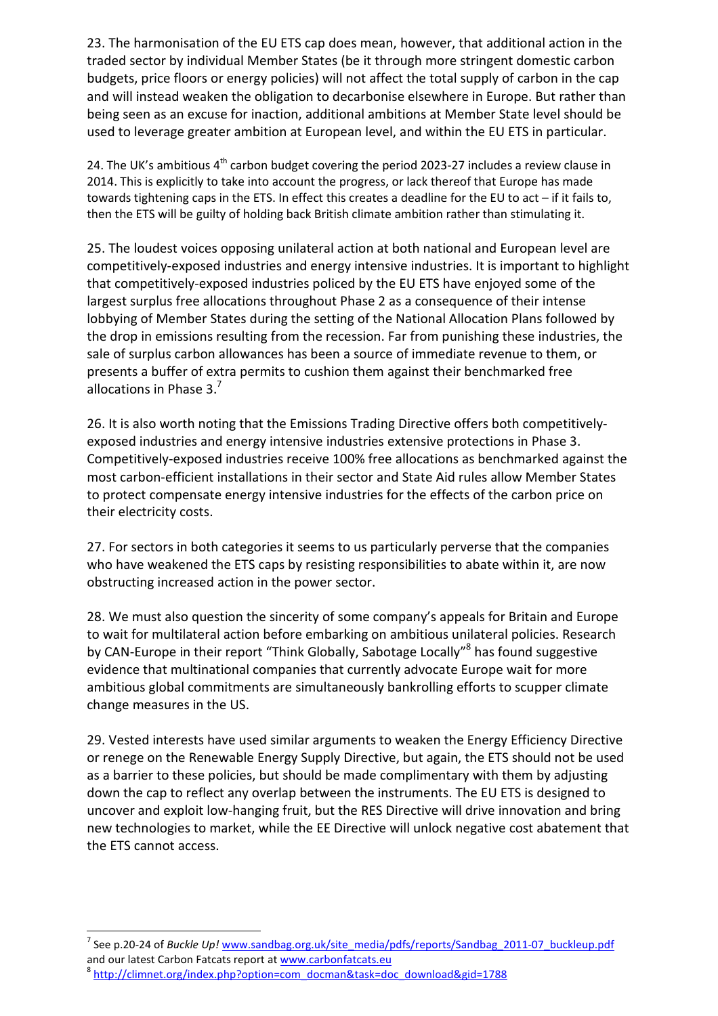23. The harmonisation of the EU ETS cap does mean, however, that additional action in the traded sector by individual Member States (be it through more stringent domestic carbon budgets, price floors or energy policies) will not affect the total supply of carbon in the cap and will instead weaken the obligation to decarbonise elsewhere in Europe. But rather than being seen as an excuse for inaction, additional ambitions at Member State level should be used to leverage greater ambition at European level, and within the EU ETS in particular.

24. The UK's ambitious  $4<sup>th</sup>$  carbon budget covering the period 2023-27 includes a review clause in 2014. This is explicitly to take into account the progress, or lack thereof that Europe has made towards tightening caps in the ETS. In effect this creates a deadline for the EU to act – if it fails to, then the ETS will be guilty of holding back British climate ambition rather than stimulating it.

25. The loudest voices opposing unilateral action at both national and European level are competitively-exposed industries and energy intensive industries. It is important to highlight that competitively-exposed industries policed by the EU ETS have enjoyed some of the largest surplus free allocations throughout Phase 2 as a consequence of their intense lobbying of Member States during the setting of the National Allocation Plans followed by the drop in emissions resulting from the recession. Far from punishing these industries, the sale of surplus carbon allowances has been a source of immediate revenue to them, or presents a buffer of extra permits to cushion them against their benchmarked free allocations in Phase 3. $^7$ 

26. It is also worth noting that the Emissions Trading Directive offers both competitivelyexposed industries and energy intensive industries extensive protections in Phase 3. Competitively-exposed industries receive 100% free allocations as benchmarked against the most carbon-efficient installations in their sector and State Aid rules allow Member States to protect compensate energy intensive industries for the effects of the carbon price on their electricity costs.

27. For sectors in both categories it seems to us particularly perverse that the companies who have weakened the ETS caps by resisting responsibilities to abate within it, are now obstructing increased action in the power sector.

28. We must also question the sincerity of some company's appeals for Britain and Europe to wait for multilateral action before embarking on ambitious unilateral policies. Research by CAN-Europe in their report "Think Globally, Sabotage Locally"<sup>8</sup> has found suggestive evidence that multinational companies that currently advocate Europe wait for more ambitious global commitments are simultaneously bankrolling efforts to scupper climate change measures in the US.

29. Vested interests have used similar arguments to weaken the Energy Efficiency Directive or renege on the Renewable Energy Supply Directive, but again, the ETS should not be used as a barrier to these policies, but should be made complimentary with them by adjusting down the cap to reflect any overlap between the instruments. The EU ETS is designed to uncover and exploit low-hanging fruit, but the RES Directive will drive innovation and bring new technologies to market, while the EE Directive will unlock negative cost abatement that the ETS cannot access.

l

<sup>&</sup>lt;sup>7</sup> See p.20-24 of *Buckle Up!* www.sandbag.org.uk/site\_media/pdfs/reports/Sandbag\_2011-07\_buckleup.pdf and our latest Carbon Fatcats report at www.carbonfatcats.eu

<sup>&</sup>lt;sup>8</sup> http://climnet.org/index.php?option=com\_docman&task=doc\_download&gid=1788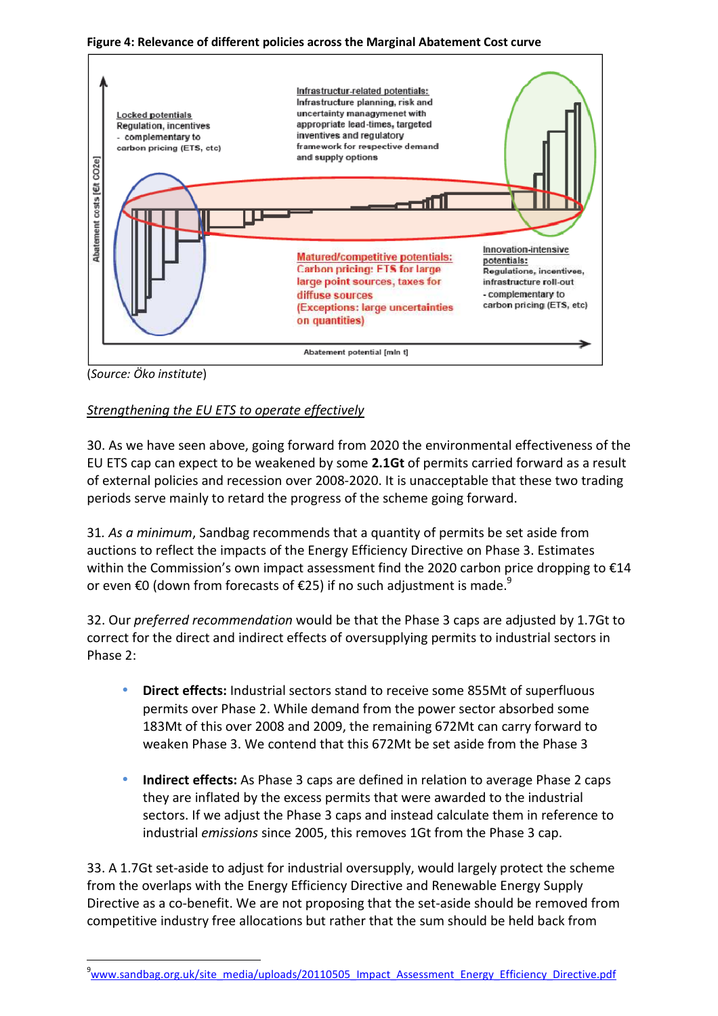**Figure 4: Relevance of different policies across the Marginal Abatement Cost curve** 



(*Source: Öko institute*)

l

# *Strengthening the EU ETS to operate effectively*

30. As we have seen above, going forward from 2020 the environmental effectiveness of the EU ETS cap can expect to be weakened by some **2.1Gt** of permits carried forward as a result of external policies and recession over 2008-2020. It is unacceptable that these two trading periods serve mainly to retard the progress of the scheme going forward.

31*. As a minimum*, Sandbag recommends that a quantity of permits be set aside from auctions to reflect the impacts of the Energy Efficiency Directive on Phase 3. Estimates within the Commission's own impact assessment find the 2020 carbon price dropping to €14 or even €0 (down from forecasts of €25) if no such adjustment is made.<sup>9</sup>

32. Our *preferred recommendation* would be that the Phase 3 caps are adjusted by 1.7Gt to correct for the direct and indirect effects of oversupplying permits to industrial sectors in Phase 2:

- **Direct effects:** Industrial sectors stand to receive some 855Mt of superfluous permits over Phase 2. While demand from the power sector absorbed some 183Mt of this over 2008 and 2009, the remaining 672Mt can carry forward to weaken Phase 3. We contend that this 672Mt be set aside from the Phase 3
- **Indirect effects:** As Phase 3 caps are defined in relation to average Phase 2 caps they are inflated by the excess permits that were awarded to the industrial sectors. If we adjust the Phase 3 caps and instead calculate them in reference to industrial *emissions* since 2005, this removes 1Gt from the Phase 3 cap.

33. A 1.7Gt set-aside to adjust for industrial oversupply, would largely protect the scheme from the overlaps with the Energy Efficiency Directive and Renewable Energy Supply Directive as a co-benefit. We are not proposing that the set-aside should be removed from competitive industry free allocations but rather that the sum should be held back from

<sup>9</sup>www.sandbag.org.uk/site\_media/uploads/20110505\_Impact\_Assessment\_Energy\_Efficiency\_Directive.pdf